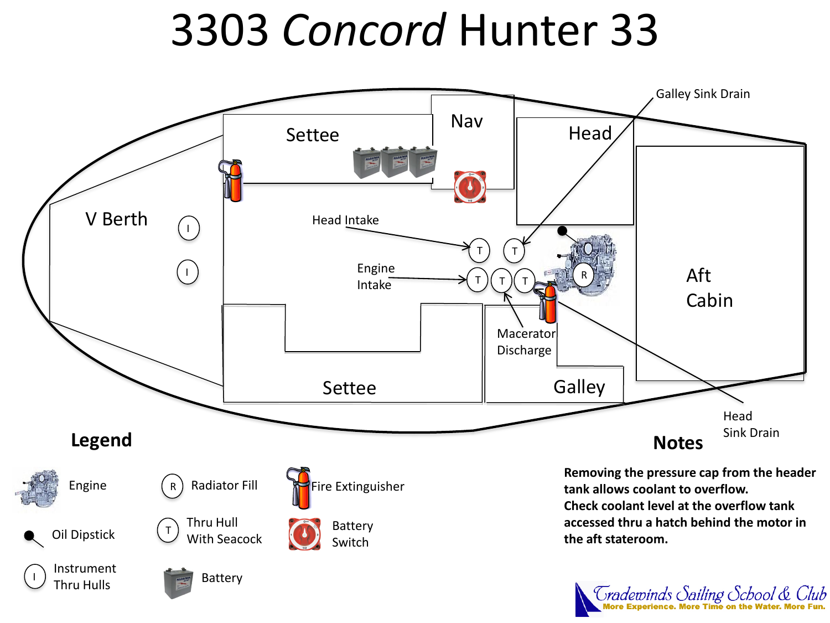# 3303 *Concord* Hunter 33



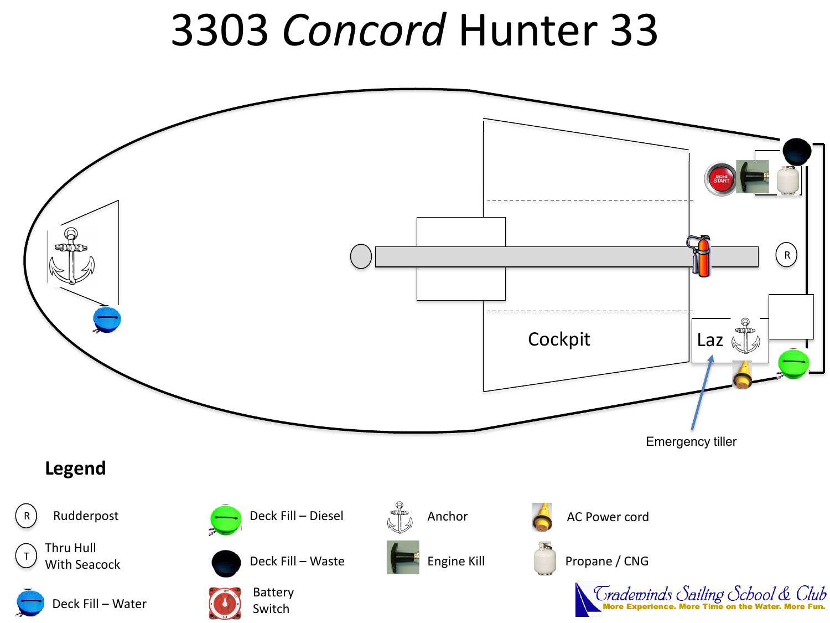## 3303 *Concord* Hunter 33

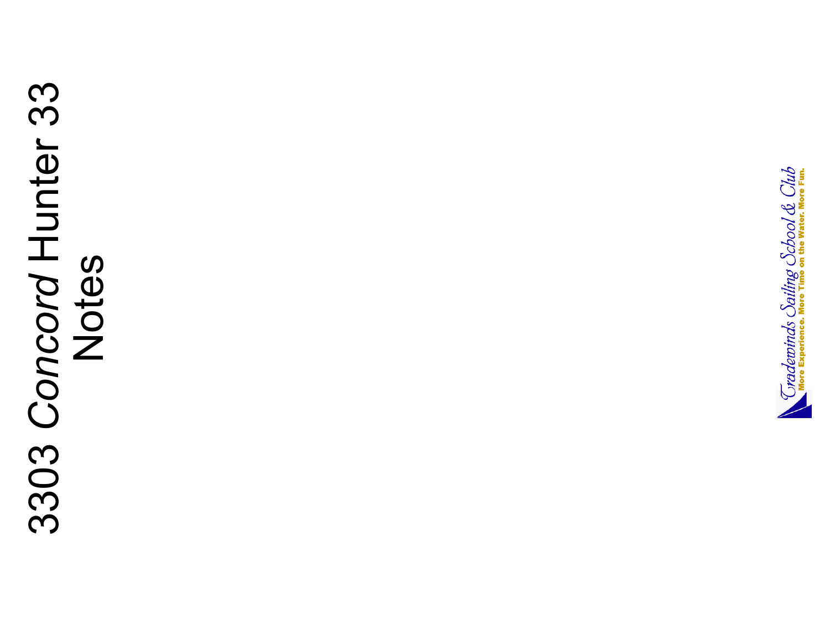# 3303 *Concord* Hunter 33 3303 Concord Hunter 33

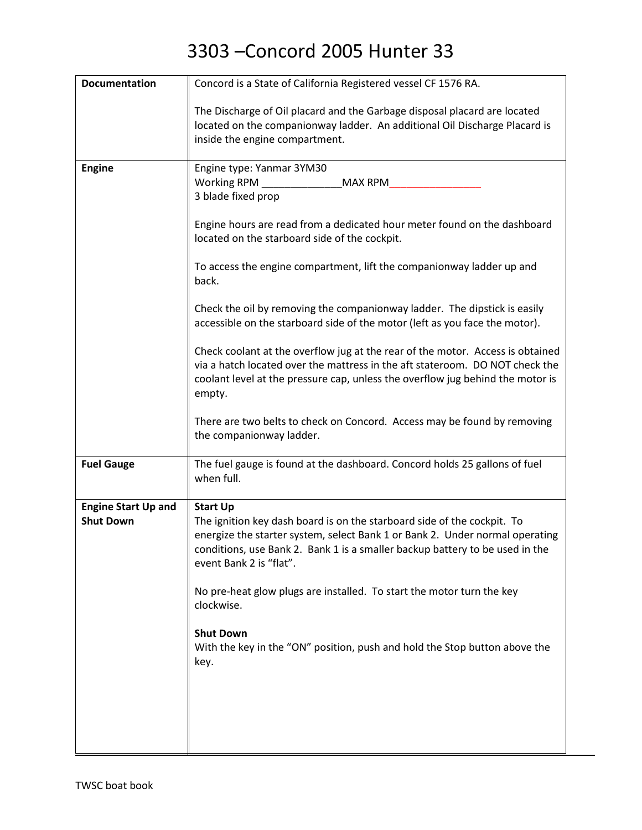| <b>Documentation</b>       | Concord is a State of California Registered vessel CF 1576 RA.                                                                                                                                                                                                     |
|----------------------------|--------------------------------------------------------------------------------------------------------------------------------------------------------------------------------------------------------------------------------------------------------------------|
|                            | The Discharge of Oil placard and the Garbage disposal placard are located<br>located on the companionway ladder. An additional Oil Discharge Placard is<br>inside the engine compartment.                                                                          |
| <b>Engine</b>              | Engine type: Yanmar 3YM30                                                                                                                                                                                                                                          |
|                            | Working RPM<br><b>MAX RPM</b><br>3 blade fixed prop                                                                                                                                                                                                                |
|                            |                                                                                                                                                                                                                                                                    |
|                            | Engine hours are read from a dedicated hour meter found on the dashboard<br>located on the starboard side of the cockpit.                                                                                                                                          |
|                            | To access the engine compartment, lift the companionway ladder up and<br>back.                                                                                                                                                                                     |
|                            | Check the oil by removing the companionway ladder. The dipstick is easily<br>accessible on the starboard side of the motor (left as you face the motor).                                                                                                           |
|                            | Check coolant at the overflow jug at the rear of the motor. Access is obtained<br>via a hatch located over the mattress in the aft stateroom. DO NOT check the<br>coolant level at the pressure cap, unless the overflow jug behind the motor is<br>empty.         |
|                            | There are two belts to check on Concord. Access may be found by removing<br>the companionway ladder.                                                                                                                                                               |
| <b>Fuel Gauge</b>          | The fuel gauge is found at the dashboard. Concord holds 25 gallons of fuel<br>when full.                                                                                                                                                                           |
| <b>Engine Start Up and</b> | <b>Start Up</b>                                                                                                                                                                                                                                                    |
| <b>Shut Down</b>           | The ignition key dash board is on the starboard side of the cockpit. To<br>energize the starter system, select Bank 1 or Bank 2. Under normal operating<br>conditions, use Bank 2. Bank 1 is a smaller backup battery to be used in the<br>event Bank 2 is "flat". |
|                            | No pre-heat glow plugs are installed. To start the motor turn the key<br>clockwise.                                                                                                                                                                                |
|                            | <b>Shut Down</b><br>With the key in the "ON" position, push and hold the Stop button above the<br>key.                                                                                                                                                             |
|                            |                                                                                                                                                                                                                                                                    |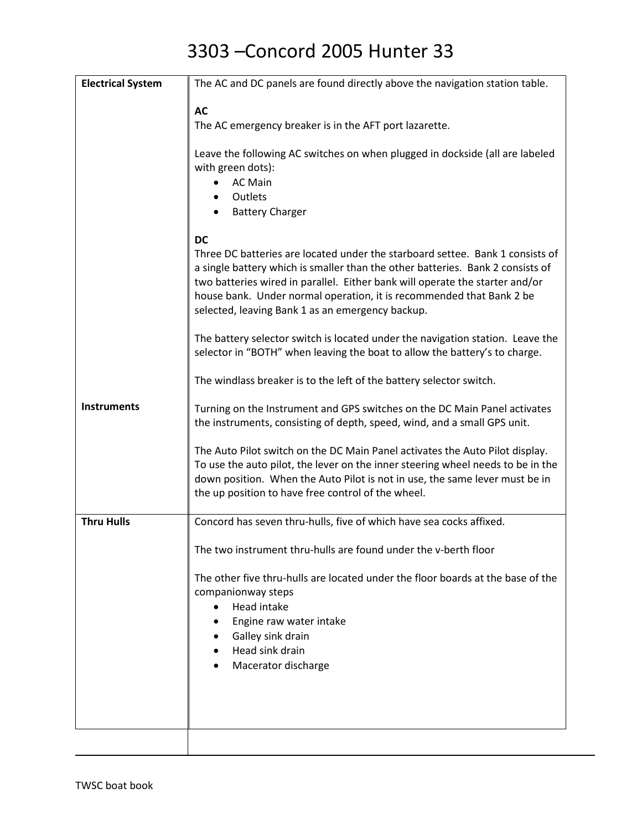| <b>Electrical System</b> | The AC and DC panels are found directly above the navigation station table.                                                                                                                                                                                                                                                                                                 |
|--------------------------|-----------------------------------------------------------------------------------------------------------------------------------------------------------------------------------------------------------------------------------------------------------------------------------------------------------------------------------------------------------------------------|
|                          | <b>AC</b>                                                                                                                                                                                                                                                                                                                                                                   |
|                          | The AC emergency breaker is in the AFT port lazarette.                                                                                                                                                                                                                                                                                                                      |
|                          | Leave the following AC switches on when plugged in dockside (all are labeled<br>with green dots):<br><b>AC Main</b><br>Outlets<br><b>Battery Charger</b>                                                                                                                                                                                                                    |
|                          | <b>DC</b>                                                                                                                                                                                                                                                                                                                                                                   |
|                          | Three DC batteries are located under the starboard settee. Bank 1 consists of<br>a single battery which is smaller than the other batteries. Bank 2 consists of<br>two batteries wired in parallel. Either bank will operate the starter and/or<br>house bank. Under normal operation, it is recommended that Bank 2 be<br>selected, leaving Bank 1 as an emergency backup. |
|                          | The battery selector switch is located under the navigation station. Leave the<br>selector in "BOTH" when leaving the boat to allow the battery's to charge.                                                                                                                                                                                                                |
|                          | The windlass breaker is to the left of the battery selector switch.                                                                                                                                                                                                                                                                                                         |
| <b>Instruments</b>       | Turning on the Instrument and GPS switches on the DC Main Panel activates<br>the instruments, consisting of depth, speed, wind, and a small GPS unit.                                                                                                                                                                                                                       |
|                          | The Auto Pilot switch on the DC Main Panel activates the Auto Pilot display.<br>To use the auto pilot, the lever on the inner steering wheel needs to be in the<br>down position. When the Auto Pilot is not in use, the same lever must be in<br>the up position to have free control of the wheel.                                                                        |
| <b>Thru Hulls</b>        | Concord has seven thru-hulls, five of which have sea cocks affixed.                                                                                                                                                                                                                                                                                                         |
|                          | The two instrument thru-hulls are found under the v-berth floor                                                                                                                                                                                                                                                                                                             |
|                          | The other five thru-hulls are located under the floor boards at the base of the<br>companionway steps<br>Head intake<br>$\bullet$<br>Engine raw water intake<br>Galley sink drain<br>Head sink drain<br>$\bullet$<br>Macerator discharge                                                                                                                                    |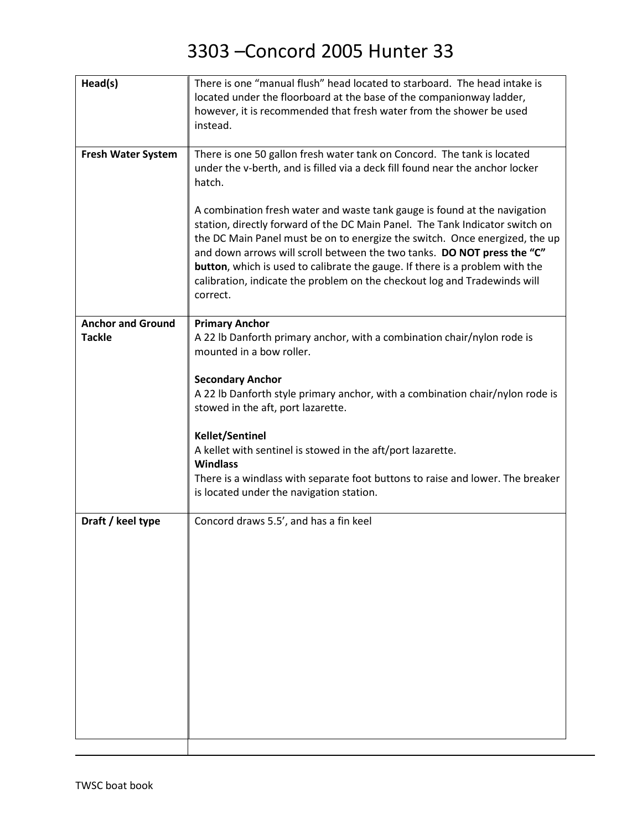| Head(s)                                   | There is one "manual flush" head located to starboard. The head intake is<br>located under the floorboard at the base of the companionway ladder,<br>however, it is recommended that fresh water from the shower be used                                                                                                                                                                                        |
|-------------------------------------------|-----------------------------------------------------------------------------------------------------------------------------------------------------------------------------------------------------------------------------------------------------------------------------------------------------------------------------------------------------------------------------------------------------------------|
|                                           | instead.                                                                                                                                                                                                                                                                                                                                                                                                        |
| <b>Fresh Water System</b>                 | There is one 50 gallon fresh water tank on Concord. The tank is located<br>under the v-berth, and is filled via a deck fill found near the anchor locker<br>hatch.<br>A combination fresh water and waste tank gauge is found at the navigation                                                                                                                                                                 |
|                                           | station, directly forward of the DC Main Panel. The Tank Indicator switch on<br>the DC Main Panel must be on to energize the switch. Once energized, the up<br>and down arrows will scroll between the two tanks. DO NOT press the "C"<br>button, which is used to calibrate the gauge. If there is a problem with the<br>calibration, indicate the problem on the checkout log and Tradewinds will<br>correct. |
| <b>Anchor and Ground</b><br><b>Tackle</b> | <b>Primary Anchor</b><br>A 22 lb Danforth primary anchor, with a combination chair/nylon rode is<br>mounted in a bow roller.                                                                                                                                                                                                                                                                                    |
|                                           | <b>Secondary Anchor</b><br>A 22 lb Danforth style primary anchor, with a combination chair/nylon rode is<br>stowed in the aft, port lazarette.                                                                                                                                                                                                                                                                  |
|                                           | <b>Kellet/Sentinel</b><br>A kellet with sentinel is stowed in the aft/port lazarette.<br><b>Windlass</b>                                                                                                                                                                                                                                                                                                        |
|                                           | There is a windlass with separate foot buttons to raise and lower. The breaker<br>is located under the navigation station.                                                                                                                                                                                                                                                                                      |
| Draft / keel type                         | Concord draws 5.5', and has a fin keel                                                                                                                                                                                                                                                                                                                                                                          |
|                                           |                                                                                                                                                                                                                                                                                                                                                                                                                 |
|                                           |                                                                                                                                                                                                                                                                                                                                                                                                                 |
|                                           |                                                                                                                                                                                                                                                                                                                                                                                                                 |
|                                           |                                                                                                                                                                                                                                                                                                                                                                                                                 |
|                                           |                                                                                                                                                                                                                                                                                                                                                                                                                 |
|                                           |                                                                                                                                                                                                                                                                                                                                                                                                                 |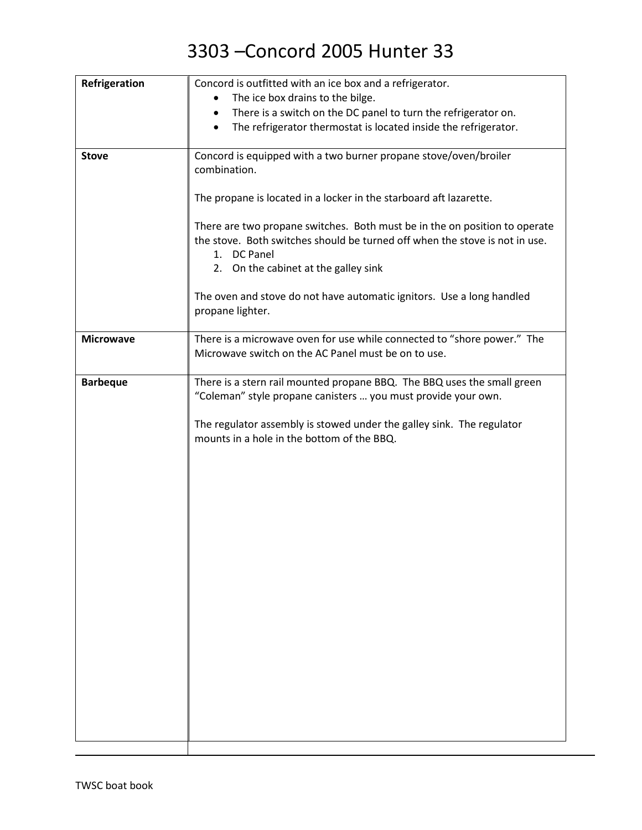| Refrigeration    | Concord is outfitted with an ice box and a refrigerator.                     |
|------------------|------------------------------------------------------------------------------|
|                  | The ice box drains to the bilge.                                             |
|                  | There is a switch on the DC panel to turn the refrigerator on.               |
|                  | The refrigerator thermostat is located inside the refrigerator.<br>$\bullet$ |
|                  |                                                                              |
| <b>Stove</b>     | Concord is equipped with a two burner propane stove/oven/broiler             |
|                  | combination.                                                                 |
|                  |                                                                              |
|                  | The propane is located in a locker in the starboard aft lazarette.           |
|                  | There are two propane switches. Both must be in the on position to operate   |
|                  | the stove. Both switches should be turned off when the stove is not in use.  |
|                  | 1. DC Panel                                                                  |
|                  | 2. On the cabinet at the galley sink                                         |
|                  |                                                                              |
|                  | The oven and stove do not have automatic ignitors. Use a long handled        |
|                  | propane lighter.                                                             |
|                  |                                                                              |
| <b>Microwave</b> | There is a microwave oven for use while connected to "shore power." The      |
|                  | Microwave switch on the AC Panel must be on to use.                          |
|                  |                                                                              |
| <b>Barbeque</b>  | There is a stern rail mounted propane BBQ. The BBQ uses the small green      |
|                  | "Coleman" style propane canisters  you must provide your own.                |
|                  |                                                                              |
|                  | The regulator assembly is stowed under the galley sink. The regulator        |
|                  | mounts in a hole in the bottom of the BBQ.                                   |
|                  |                                                                              |
|                  |                                                                              |
|                  |                                                                              |
|                  |                                                                              |
|                  |                                                                              |
|                  |                                                                              |
|                  |                                                                              |
|                  |                                                                              |
|                  |                                                                              |
|                  |                                                                              |
|                  |                                                                              |
|                  |                                                                              |
|                  |                                                                              |
|                  |                                                                              |
|                  |                                                                              |
|                  |                                                                              |
|                  |                                                                              |
|                  |                                                                              |
|                  |                                                                              |
|                  |                                                                              |